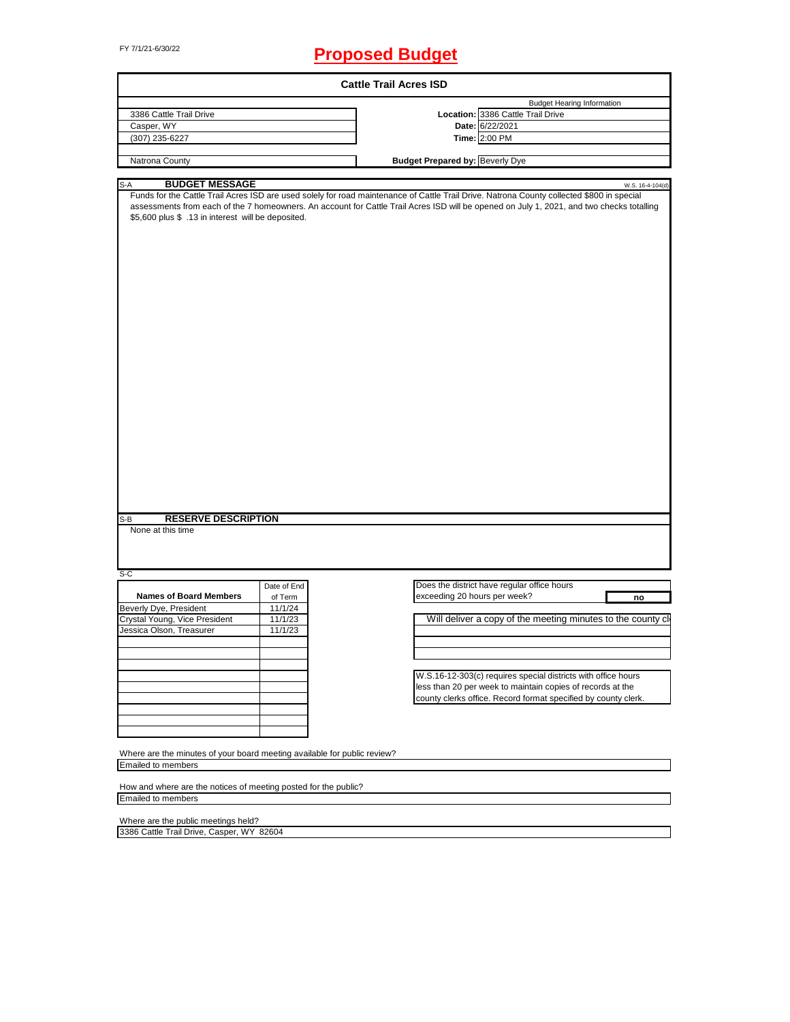# FY 7/1/21-6/30/22 **Proposed Budget**

|                                                                                                                                                                                                       |             | <b>Cattle Trail Acres ISD</b>                                                                                                                                                                                                                                                           |
|-------------------------------------------------------------------------------------------------------------------------------------------------------------------------------------------------------|-------------|-----------------------------------------------------------------------------------------------------------------------------------------------------------------------------------------------------------------------------------------------------------------------------------------|
|                                                                                                                                                                                                       |             | <b>Budget Hearing Information</b>                                                                                                                                                                                                                                                       |
| 3386 Cattle Trail Drive                                                                                                                                                                               |             | Location: 3386 Cattle Trail Drive                                                                                                                                                                                                                                                       |
| Casper, WY                                                                                                                                                                                            |             | Date: 6/22/2021                                                                                                                                                                                                                                                                         |
| (307) 235-6227                                                                                                                                                                                        |             | Time: 2:00 PM                                                                                                                                                                                                                                                                           |
|                                                                                                                                                                                                       |             |                                                                                                                                                                                                                                                                                         |
| Natrona County                                                                                                                                                                                        |             | <b>Budget Prepared by: Beverly Dye</b>                                                                                                                                                                                                                                                  |
| <b>BUDGET MESSAGE</b><br>S-A                                                                                                                                                                          |             | W.S. 16-4-104(d)                                                                                                                                                                                                                                                                        |
| \$5,600 plus \$ .13 in interest will be deposited.                                                                                                                                                    |             | Funds for the Cattle Trail Acres ISD are used solely for road maintenance of Cattle Trail Drive. Natrona County collected \$800 in special<br>assessments from each of the 7 homeowners. An account for Cattle Trail Acres ISD will be opened on July 1, 2021, and two checks totalling |
| <b>RESERVE DESCRIPTION</b><br>S-B                                                                                                                                                                     |             |                                                                                                                                                                                                                                                                                         |
| None at this time                                                                                                                                                                                     |             |                                                                                                                                                                                                                                                                                         |
|                                                                                                                                                                                                       |             |                                                                                                                                                                                                                                                                                         |
|                                                                                                                                                                                                       |             |                                                                                                                                                                                                                                                                                         |
|                                                                                                                                                                                                       | Date of End | Does the district have regular office hours                                                                                                                                                                                                                                             |
| <b>Names of Board Members</b>                                                                                                                                                                         | of Term     | exceeding 20 hours per week?<br>no                                                                                                                                                                                                                                                      |
|                                                                                                                                                                                                       | 11/1/24     |                                                                                                                                                                                                                                                                                         |
|                                                                                                                                                                                                       | 11/1/23     |                                                                                                                                                                                                                                                                                         |
|                                                                                                                                                                                                       | 11/1/23     |                                                                                                                                                                                                                                                                                         |
|                                                                                                                                                                                                       |             |                                                                                                                                                                                                                                                                                         |
|                                                                                                                                                                                                       |             |                                                                                                                                                                                                                                                                                         |
|                                                                                                                                                                                                       |             |                                                                                                                                                                                                                                                                                         |
|                                                                                                                                                                                                       |             |                                                                                                                                                                                                                                                                                         |
|                                                                                                                                                                                                       |             | W.S.16-12-303(c) requires special districts with office hours                                                                                                                                                                                                                           |
|                                                                                                                                                                                                       |             | less than 20 per week to maintain copies of records at the                                                                                                                                                                                                                              |
|                                                                                                                                                                                                       |             | Will deliver a copy of the meeting minutes to the county cl<br>county clerks office. Record format specified by county clerk.                                                                                                                                                           |
| $S-C$<br>Beverly Dye, President<br>Crystal Young, Vice President<br>Jessica Olson, Treasurer                                                                                                          |             |                                                                                                                                                                                                                                                                                         |
|                                                                                                                                                                                                       |             |                                                                                                                                                                                                                                                                                         |
|                                                                                                                                                                                                       |             |                                                                                                                                                                                                                                                                                         |
|                                                                                                                                                                                                       |             |                                                                                                                                                                                                                                                                                         |
|                                                                                                                                                                                                       |             |                                                                                                                                                                                                                                                                                         |
|                                                                                                                                                                                                       |             |                                                                                                                                                                                                                                                                                         |
|                                                                                                                                                                                                       |             |                                                                                                                                                                                                                                                                                         |
| Where are the minutes of your board meeting available for public review?<br><b>Emailed to members</b><br>How and where are the notices of meeting posted for the public?<br><b>Emailed to members</b> |             |                                                                                                                                                                                                                                                                                         |

Where are the public meetings held? 3386 Cattle Trail Drive, Casper, WY 82604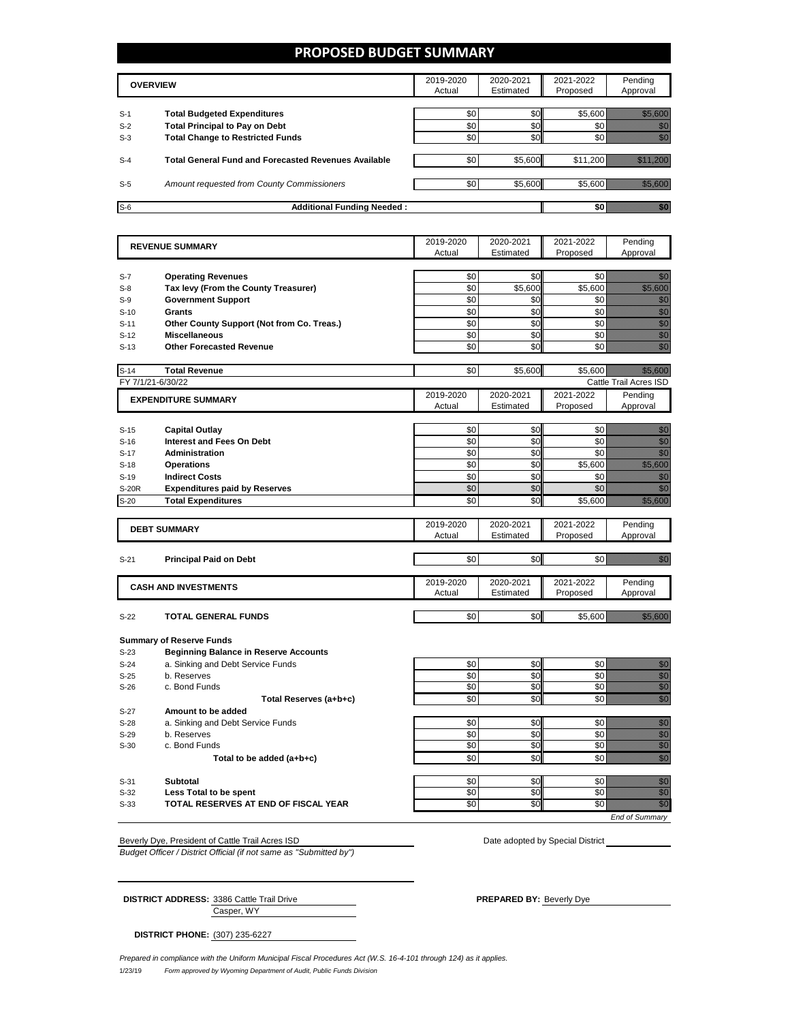## **PROPOSED BUDGET SUMMARY**

|       | <b>OVERVIEW</b>                                             | 2019-2020<br>Actual | 2020-2021<br>Estimated | 2021-2022<br>Proposed | Pending<br>Approval |
|-------|-------------------------------------------------------------|---------------------|------------------------|-----------------------|---------------------|
| $S-1$ | <b>Total Budgeted Expenditures</b>                          | \$0                 | \$0                    | \$5.600               |                     |
| $S-2$ | <b>Total Principal to Pay on Debt</b>                       | \$0                 | \$0                    |                       |                     |
| $S-3$ | <b>Total Change to Restricted Funds</b>                     | \$0                 | \$0                    |                       |                     |
|       |                                                             |                     |                        |                       |                     |
| $S-4$ | <b>Total General Fund and Forecasted Revenues Available</b> | \$0                 | \$5,600                | \$11.200              |                     |
|       |                                                             |                     |                        |                       |                     |
| $S-5$ | Amount requested from County Commissioners                  | \$0                 | \$5,600                | \$5,600               |                     |
|       |                                                             |                     |                        |                       |                     |
| $S-6$ | <b>Additional Funding Needed:</b>                           |                     |                        |                       |                     |

|                   | <b>REVENUE SUMMARY</b>                       | 2019-2020 | 2020-2021 | 2021-2022 | Pending                                                                                                                                                                                                                              |
|-------------------|----------------------------------------------|-----------|-----------|-----------|--------------------------------------------------------------------------------------------------------------------------------------------------------------------------------------------------------------------------------------|
|                   |                                              | Actual    | Estimated | Proposed  | Approval                                                                                                                                                                                                                             |
|                   |                                              |           |           |           |                                                                                                                                                                                                                                      |
| $S-7$             | <b>Operating Revenues</b>                    | \$0       | \$0       | \$0       | en de la familie de la familie de la familie de la familie de la familie de la familie de la familie de la fam<br>De la familie de la familie de la familie de la familie de la familie de la familie de la familie de la famili     |
| $S-8$             | Tax levy (From the County Treasurer)         | \$0       | \$5,600   | \$5,600   | a katika katika katika katika alikuwa alikuwa alikuwa alikuwa alikuwa alikuwa alikuwa alikuwa alikuwa alikuwa<br>Marejeo                                                                                                             |
| $S-9$             | <b>Government Support</b>                    | \$0       | \$0       | \$0       | en 1999.<br>Statistike en de statistike en de statistike en de statistike en de statistike en de statistike en de statistik<br>Statistike en de statistike en de statistike en de statistike en de statistike en de statistike en de |
| $S-10$            | Grants                                       | \$0       | \$0       | \$0       | enne<br>Gallia                                                                                                                                                                                                                       |
| $S-11$            | Other County Support (Not from Co. Treas.)   | \$0       | \$0       | \$0       | en de la falsa de la falsa de la falsa de la falsa de la falsa de la falsa de la falsa de la falsa de la falsa<br>Constituit de la falsa de la falsa de la falsa de la falsa de la falsa de la falsa de la falsa de la falsa de      |
| $S-12$            | <b>Miscellaneous</b>                         | \$0       | \$0       | \$0       | en en de la familie de la familie de la familie de la familie de la familie de la familie de la familie de la<br>Constitution de la familie de la familie de la familie de la familie de la familie de la familie de la familie      |
| $S-13$            | <b>Other Forecasted Revenue</b>              | \$0       | \$0       | \$0       | en de la familie de la familie de la familie de la familie de la familie de la familie de la familie de la fa<br>Constitution de la familie de la familie de la familie de la familie de la familie de la familie de la familie      |
| $S-14$            | <b>Total Revenue</b>                         | \$0       | \$5,600   | \$5,600   | <u> Maria San</u>                                                                                                                                                                                                                    |
| FY 7/1/21-6/30/22 |                                              |           |           |           | Cattle Trail Acres ISD                                                                                                                                                                                                               |
|                   | <b>EXPENDITURE SUMMARY</b>                   | 2019-2020 | 2020-2021 | 2021-2022 | Pending                                                                                                                                                                                                                              |
|                   |                                              | Actual    | Estimated | Proposed  | Approval                                                                                                                                                                                                                             |
|                   |                                              |           |           |           |                                                                                                                                                                                                                                      |
| $S-15$            | <b>Capital Outlay</b>                        | \$0       | \$0       | \$0       | en de la familie de la familie de la familie de la familie de la familie de la familie de la familie de la fam<br>Concelho de la familie de la familie de la familie de la familie de la familie de la familie de la familie de      |
| $S-16$            | <b>Interest and Fees On Debt</b>             | \$0       | \$0       | \$0       | en de la familie de la familie de la familie de la familie de la familie de la familie de la familie de la fa<br>Concello de la familie de la familie de la familie de la familie de la familie de la familie de la familie de       |
| $S-17$            | <b>Administration</b>                        | \$0       | \$0       | \$0       | en de la familie de la familie de la familie de la familie de la familie de la familie de la familie de la fam<br>Constitution de la familie de la familie de la familie de la familie de la familie de la familie de la familie     |
| $S-18$            | <b>Operations</b>                            | \$0       | \$0       | \$5,600   | e de la filosofia<br>Alternativo                                                                                                                                                                                                     |
| $S-19$            | <b>Indirect Costs</b>                        | \$0       | \$0       | \$0       | en de la familie de la familie de la familie de la familie de la familie de la familie de la familie de la fam<br>Estat de la familie de la familie de la familie de la familie de la familie de la familie de la familie de la      |
| S-20R             | <b>Expenditures paid by Reserves</b>         | \$0       | \$0       | \$0       | en de la familie de la familie de la familie de la familie de la familie de la familie de la familie de la fa<br>Constitution de la familie de la familie de la familie de la familie de la familie de la familie de la familie      |
| $S-20$            | <b>Total Expenditures</b>                    | \$0       | \$0       | \$5,600   | <u> Martin Sa</u>                                                                                                                                                                                                                    |
|                   |                                              | 2019-2020 | 2020-2021 | 2021-2022 | Pending                                                                                                                                                                                                                              |
|                   | <b>DEBT SUMMARY</b>                          | Actual    | Estimated | Proposed  | Approval                                                                                                                                                                                                                             |
|                   |                                              |           |           |           |                                                                                                                                                                                                                                      |
| $S-21$            | <b>Principal Paid on Debt</b>                | \$0       | \$0       | \$0       | elli ku                                                                                                                                                                                                                              |
|                   |                                              |           |           |           |                                                                                                                                                                                                                                      |
|                   | <b>CASH AND INVESTMENTS</b>                  | 2019-2020 | 2020-2021 | 2021-2022 | Pending                                                                                                                                                                                                                              |
|                   |                                              | Actual    | Estimated | Proposed  | Approval                                                                                                                                                                                                                             |
|                   |                                              |           |           |           |                                                                                                                                                                                                                                      |
| $S-22$            | <b>TOTAL GENERAL FUNDS</b>                   | \$0       | \$0       | \$5,600   | <u> Hillian S</u>                                                                                                                                                                                                                    |
|                   | <b>Summary of Reserve Funds</b>              |           |           |           |                                                                                                                                                                                                                                      |
| $S-23$            | <b>Beginning Balance in Reserve Accounts</b> |           |           |           |                                                                                                                                                                                                                                      |
| $S-24$            | a. Sinking and Debt Service Funds            | \$0       | \$0       | \$0       | en de la familie de la familie de la familie de la familie de la familie de la familie de la familie de la fam<br>Constituit de la familie de la familie de la familie de la familie de la familie de la familie de la familie d     |
| $S-25$            | b. Reserves                                  | \$0       | \$0       | \$0       | enne<br>Mille                                                                                                                                                                                                                        |
| $S-26$            | c. Bond Funds                                | \$0       | \$0       | \$0       | en de la familie de la familie de la familie de la familie de la familie de la familie de la familie de la fam<br>Conceptus de la familie de la familie de la familie de la familie de la familie de la familie de la familie d      |
|                   | Total Reserves (a+b+c)                       | \$0       | \$0       | \$0       | en de la familie de la familie de la familie de la familie de la familie de la familie de la familie de la fam<br>Concelle de la familie de la familie de la familie de la familie de la familie de la familie de la familie de      |
| $S-27$            | Amount to be added                           |           |           |           |                                                                                                                                                                                                                                      |
| $S-28$            | a. Sinking and Debt Service Funds            | \$0       | \$0       | \$0       | en en de la familie de la familie de la familie de la familie de la familie de la familie de la familie de la<br>Constitution de la familie de la familie de la familie de la familie de la familie de la familie de la familie      |
| $S-29$            | b. Reserves                                  | \$0       | \$0       | \$0       | en de la familie de la familie de la familie de la familie de la familie de la familie de la familie de la fam<br>Constituit de la familie de la familie de la familie de la familie de la familie de la familie de la familie d     |
| $S-30$            | c. Bond Funds                                | \$0       | \$0       | \$0       | en en de la familie de la familie de la familie de la familie de la familie de la familie de la familie de la<br>Constitution de la familie de la familie de la familie de la familie de la familie de la familie de la familie      |
|                   | Total to be added (a+b+c)                    | \$0       | \$0       | \$0       | en de la filosofia<br>Altres de la filòlogía                                                                                                                                                                                         |
|                   |                                              |           |           |           |                                                                                                                                                                                                                                      |
| $S-31$            | <b>Subtotal</b>                              | \$0       | \$0       | \$0       | en de la familie de la familie de la familie de la familie de la familie de la familie de la familie de la fa<br>Estatubat de la familie de la familie de la familie de la familie de la familie de la familie de la familie d       |
| $S-32$            | Less Total to be spent                       | \$0       | \$0       | \$0       | en de la familie de la familie de la familie de la familie de la familie de la familie de la familie de la fam<br>Concello de la familie de la familie de la familie de la familie de la familie de la familie de la familie de      |
| $S-33$            | TOTAL RESERVES AT END OF FISCAL YEAR         | \$0       | \$0       | \$0       | en de la familie de la familie de la familie de la familie de la familie de la familie de la familie de la fa<br>Establecidad                                                                                                        |
|                   |                                              |           |           |           | <b>End of Summary</b>                                                                                                                                                                                                                |

Beverly Dye, President of Cattle Trail Acres ISD **Date adopted by Special District Date adopted by Special District** 

*Budget Officer / District Official (if not same as "Submitted by")*

Casper, WY **DISTRICT ADDRESS:** 3386 Cattle Trail Drive **PREPARED BY: Beverly Dye** 

**DISTRICT PHONE:** (307) 235-6227

L.

1/23/19 *Form approved by Wyoming Department of Audit, Public Funds Division Prepared in compliance with the Uniform Municipal Fiscal Procedures Act (W.S. 16-4-101 through 124) as it applies.*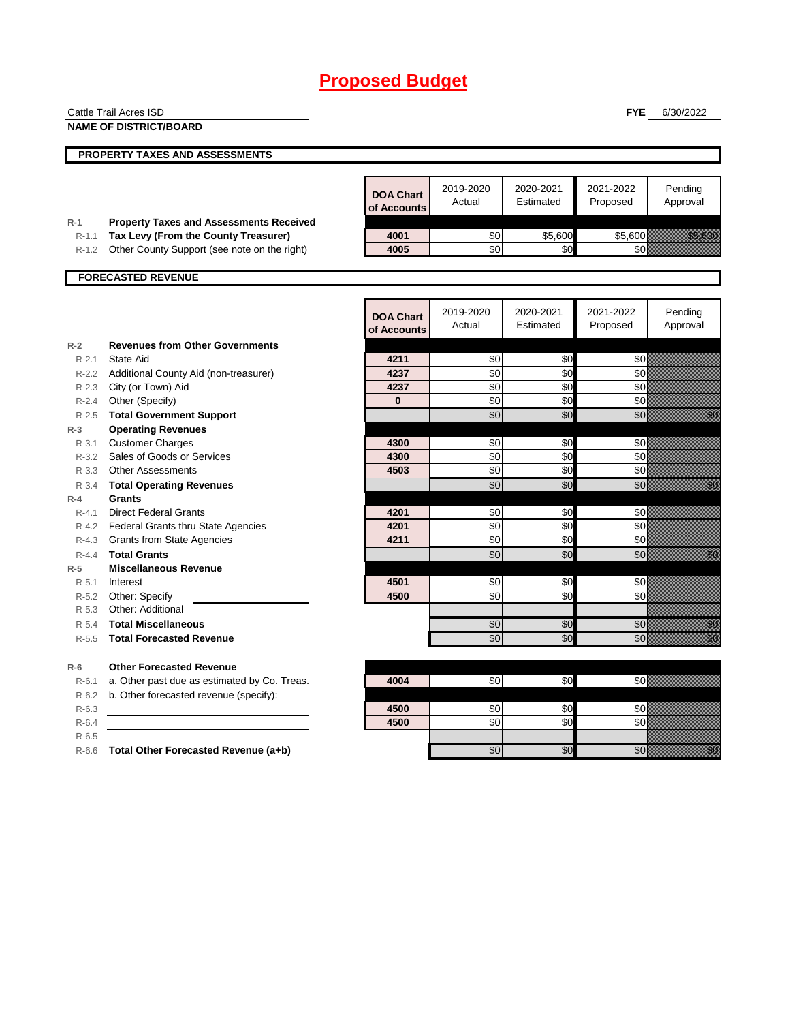|                    | Cattle Trail Acres ISD                              |                  |           |            | <b>FYE</b> | 6/30/2022                                                                                                                                                                                                                        |
|--------------------|-----------------------------------------------------|------------------|-----------|------------|------------|----------------------------------------------------------------------------------------------------------------------------------------------------------------------------------------------------------------------------------|
|                    | <b>NAME OF DISTRICT/BOARD</b>                       |                  |           |            |            |                                                                                                                                                                                                                                  |
|                    |                                                     |                  |           |            |            |                                                                                                                                                                                                                                  |
|                    | PROPERTY TAXES AND ASSESSMENTS                      |                  |           |            |            |                                                                                                                                                                                                                                  |
|                    |                                                     |                  |           |            |            |                                                                                                                                                                                                                                  |
|                    |                                                     | <b>DOA Chart</b> | 2019-2020 | 2020-2021  | 2021-2022  | Pending                                                                                                                                                                                                                          |
|                    |                                                     | of Accounts      | Actual    | Estimated  | Proposed   | Approval                                                                                                                                                                                                                         |
| $R-1$              | <b>Property Taxes and Assessments Received</b>      |                  |           |            |            |                                                                                                                                                                                                                                  |
| $R-1.1$            | Tax Levy (From the County Treasurer)                | 4001             | \$0       | \$5,600    | \$5,600    | <u>ti ali postali provinci provinci provinci provinci provinci provinci provinci provinci provinci provinci prov</u>                                                                                                             |
| $R-1.2$            | Other County Support (see note on the right)        | 4005             | \$0       | \$0        | \$0        |                                                                                                                                                                                                                                  |
|                    |                                                     |                  |           |            |            |                                                                                                                                                                                                                                  |
|                    | <b>FORECASTED REVENUE</b>                           |                  |           |            |            |                                                                                                                                                                                                                                  |
|                    |                                                     |                  |           |            |            |                                                                                                                                                                                                                                  |
|                    |                                                     | <b>DOA Chart</b> | 2019-2020 | 2020-2021  | 2021-2022  | Pending                                                                                                                                                                                                                          |
|                    |                                                     | of Accounts      | Actual    | Estimated  | Proposed   | Approval                                                                                                                                                                                                                         |
| $R-2$              | <b>Revenues from Other Governments</b>              |                  |           |            |            |                                                                                                                                                                                                                                  |
| $R - 2.1$          | State Aid                                           | 4211             | \$0       | \$0        | \$0        |                                                                                                                                                                                                                                  |
| $R - 2.2$          | Additional County Aid (non-treasurer)               | 4237             | \$0       | \$0        | \$0        |                                                                                                                                                                                                                                  |
|                    | R-2.3 City (or Town) Aid                            | 4237             | \$0       | \$0        | \$0        |                                                                                                                                                                                                                                  |
|                    | R-2.4 Other (Specify)                               | $\bf{0}$         | \$0       | \$0        | \$0        |                                                                                                                                                                                                                                  |
| $R - 2.5$          | <b>Total Government Support</b>                     |                  | \$0       | \$0        | \$0        | e di Caraccione di San Barbara, Caraccione di San Barbara, San Barbara, San Barbara, San Barbara, San Barbara,<br>Nati                                                                                                           |
| $R-3$              | <b>Operating Revenues</b>                           |                  |           |            |            |                                                                                                                                                                                                                                  |
| $R - 3.1$          | <b>Customer Charges</b>                             | 4300             | \$0       | \$0        | \$0        |                                                                                                                                                                                                                                  |
|                    | R-3.2 Sales of Goods or Services                    | 4300             | \$0       | \$0        | \$0        |                                                                                                                                                                                                                                  |
| R-3.3              | <b>Other Assessments</b>                            | 4503             | \$0       | \$0        | \$0        |                                                                                                                                                                                                                                  |
| R-3.4              | <b>Total Operating Revenues</b>                     |                  | \$0       | \$0        | \$0        | en de la familie de la familie de la familie de la familie de la familie de la familie de la familie de la fam<br>De la familie de la familie de la familie de la familie de la familie de la familie de la familie de la famili |
| $R-4$              | Grants                                              |                  |           |            |            |                                                                                                                                                                                                                                  |
| $R - 4.1$          | <b>Direct Federal Grants</b>                        | 4201             | \$0       | \$0        | \$0        |                                                                                                                                                                                                                                  |
|                    | R-4.2 Federal Grants thru State Agencies            | 4201<br>4211     | \$0       | \$0<br>\$0 | \$0<br>\$0 |                                                                                                                                                                                                                                  |
|                    | R-4.3 Grants from State Agencies                    |                  | \$0       |            | \$0        | <u>i Sa</u>                                                                                                                                                                                                                      |
| $R - 4.4$<br>$R-5$ | <b>Total Grants</b><br><b>Miscellaneous Revenue</b> |                  | \$0       | \$0        |            |                                                                                                                                                                                                                                  |
| $R - 5.1$          | Interest                                            | 4501             | \$0       | \$0        | \$0        |                                                                                                                                                                                                                                  |
| R-5.2              | Other: Specify                                      | 4500             | \$0       | \$0        | \$0        |                                                                                                                                                                                                                                  |
|                    | R-5.3 Other: Additional                             |                  |           |            |            |                                                                                                                                                                                                                                  |
| $R - 5.4$          | <b>Total Miscellaneous</b>                          |                  | \$0       | \$0        | \$0        | en de la falsa<br>Maria de la falsa de la falsa de la falsa de la falsa de la falsa de la falsa de la falsa de la                                                                                                                |
| $R - 5.5$          | <b>Total Forecasted Revenue</b>                     |                  | \$0       | \$0        | \$0        | en<br>Vidu                                                                                                                                                                                                                       |
|                    |                                                     |                  |           |            |            |                                                                                                                                                                                                                                  |
| $R-6$              | <b>Other Forecasted Revenue</b>                     |                  |           |            |            |                                                                                                                                                                                                                                  |
| $R - 6.1$          | a. Other past due as estimated by Co. Treas.        | 4004             | \$0       | \$0        | \$0        |                                                                                                                                                                                                                                  |
| $R-6.2$            | b. Other forecasted revenue (specify):              |                  |           |            |            |                                                                                                                                                                                                                                  |
| $R-6.3$            |                                                     | 4500             | \$0       | \$0        | \$0        |                                                                                                                                                                                                                                  |
| $R-6.4$            |                                                     | 4500             | \$0       | \$0        | \$0        |                                                                                                                                                                                                                                  |
| $R-6.5$            |                                                     |                  |           |            |            |                                                                                                                                                                                                                                  |
| $R-6.6$            | Total Other Forecasted Revenue (a+b)                |                  | \$0       | \$0        | \$0        | en de la familie de la familie de la familie de la familie de la familie de la familie de la familie de la fam<br>De la familie de la familie de la familie de la familie de la familie de la familie de la familie de la famili |
|                    |                                                     |                  |           |            |            |                                                                                                                                                                                                                                  |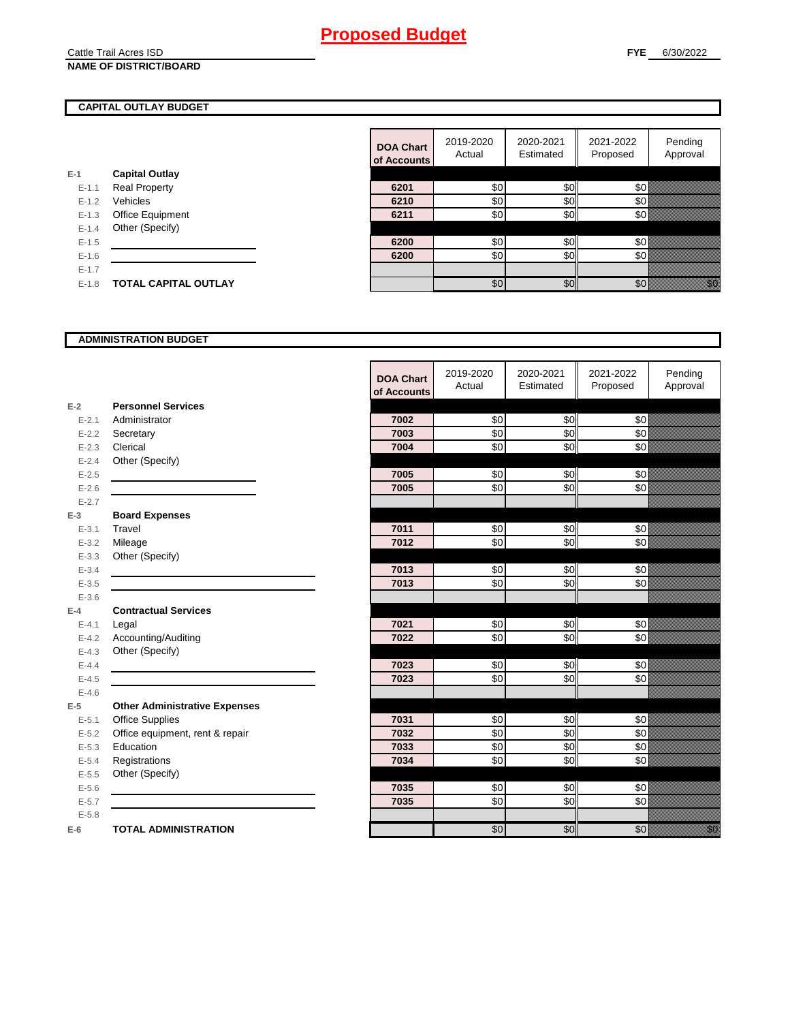#### Cattle Trail Acres ISD **NAME OF DISTRICT/BOARD**

## **CAPITAL OUTLAY BUDGET**

| E-1     | <b>Capital Outlay</b>   |
|---------|-------------------------|
| $F-11$  | <b>Real Property</b>    |
| $F-12$  | Vehicles                |
| $F-1.3$ | <b>Office Equipment</b> |
| $F-14$  | Other (Specify)         |
| $F-1.5$ |                         |
| $F-16$  |                         |
| $F-17$  |                         |
| $F-1.8$ | TOTAL CAPITAL OUTLAY    |
|         |                         |

| Pending<br>2021-2022<br>2019-2020<br>2020-2021<br><b>DOA Chart</b><br>Approval<br>Estimated<br>Actual<br>Proposed<br>of Accounts<br><b>Capital Outlay</b><br>\$0<br>\$0<br>\$0<br><b>Real Property</b><br>$E - 1.1$<br>6201<br>\$0<br>30 <sup>l</sup><br>Vehicles<br>\$0<br>$E - 1.2$<br>6210<br>\$0<br>\$0<br>\$0<br>Office Equipment<br>6211<br>$E-1.3$<br>Other (Specify)<br>$E-1.4$<br>\$0<br>\$0<br>\$0<br>$E-1.5$<br>6200<br>\$0<br>30 <sup>l</sup><br>\$0<br>$E-1.6$<br>6200<br>$E - 1.7$ |         |                             |  |     |     |     |                                                                                                                                                                                                                                 |
|--------------------------------------------------------------------------------------------------------------------------------------------------------------------------------------------------------------------------------------------------------------------------------------------------------------------------------------------------------------------------------------------------------------------------------------------------------------------------------------------------|---------|-----------------------------|--|-----|-----|-----|---------------------------------------------------------------------------------------------------------------------------------------------------------------------------------------------------------------------------------|
|                                                                                                                                                                                                                                                                                                                                                                                                                                                                                                  |         |                             |  |     |     |     |                                                                                                                                                                                                                                 |
|                                                                                                                                                                                                                                                                                                                                                                                                                                                                                                  |         |                             |  |     |     |     |                                                                                                                                                                                                                                 |
|                                                                                                                                                                                                                                                                                                                                                                                                                                                                                                  |         |                             |  |     |     |     |                                                                                                                                                                                                                                 |
|                                                                                                                                                                                                                                                                                                                                                                                                                                                                                                  |         |                             |  |     |     |     |                                                                                                                                                                                                                                 |
|                                                                                                                                                                                                                                                                                                                                                                                                                                                                                                  |         |                             |  |     |     |     |                                                                                                                                                                                                                                 |
|                                                                                                                                                                                                                                                                                                                                                                                                                                                                                                  |         |                             |  |     |     |     |                                                                                                                                                                                                                                 |
|                                                                                                                                                                                                                                                                                                                                                                                                                                                                                                  |         |                             |  |     |     |     |                                                                                                                                                                                                                                 |
|                                                                                                                                                                                                                                                                                                                                                                                                                                                                                                  |         |                             |  |     |     |     |                                                                                                                                                                                                                                 |
|                                                                                                                                                                                                                                                                                                                                                                                                                                                                                                  |         |                             |  |     |     |     |                                                                                                                                                                                                                                 |
|                                                                                                                                                                                                                                                                                                                                                                                                                                                                                                  | $E-1.8$ | <b>TOTAL CAPITAL OUTLAY</b> |  | \$0 | \$0 | \$0 | en de la familie de la familie de la familie de la familie de la familie de la familie de la familie de la fam<br>Estat de la familie de la familie de la familie de la familie de la familie de la familie de la familie de la |

### **ADMINISTRATION BUDGET**

|           |                                      | <b>DOA Chart</b><br>of Accounts | 2019-2020<br>Actual | 2020-2021<br>Estimated | 2021-2022<br>Proposed | Pending<br>Approval                          |
|-----------|--------------------------------------|---------------------------------|---------------------|------------------------|-----------------------|----------------------------------------------|
| $E-2$     | <b>Personnel Services</b>            |                                 |                     |                        |                       |                                              |
| $E - 2.1$ | Administrator                        | 7002                            | \$0                 | \$0                    | \$0                   |                                              |
| $E - 2.2$ | Secretary                            | 7003                            | \$0                 | \$0                    | \$0                   |                                              |
| $E - 2.3$ | Clerical                             | 7004                            | \$0                 | \$0                    | \$0                   |                                              |
| $E - 2.4$ | Other (Specify)                      |                                 |                     |                        |                       |                                              |
| $E - 2.5$ |                                      | 7005                            | \$0                 | \$0                    | \$0                   |                                              |
| $E-2.6$   |                                      | 7005                            | \$0                 | \$0                    | \$0                   |                                              |
| $E - 2.7$ |                                      |                                 |                     |                        |                       |                                              |
| $E-3$     | <b>Board Expenses</b>                |                                 |                     |                        |                       |                                              |
| $E - 3.1$ | Travel                               | 7011                            | \$0                 | \$0                    | \$0                   |                                              |
| $E - 3.2$ | Mileage                              | 7012                            | \$0                 | \$0                    | \$0                   |                                              |
| $E - 3.3$ | Other (Specify)                      |                                 |                     |                        |                       |                                              |
| $E - 3.4$ |                                      | 7013                            | \$0                 | \$0                    | \$0                   |                                              |
| $E - 3.5$ |                                      | 7013                            | \$0                 | \$0                    | \$0                   |                                              |
| $E - 3.6$ |                                      |                                 |                     |                        |                       |                                              |
| $E-4$     | <b>Contractual Services</b>          |                                 |                     |                        |                       |                                              |
| $E - 4.1$ | Legal                                | 7021                            | \$0                 | \$0                    | \$0                   |                                              |
| $E-4.2$   | Accounting/Auditing                  | 7022                            | \$0                 | \$0                    | \$0                   |                                              |
| $E - 4.3$ | Other (Specify)                      |                                 |                     |                        |                       |                                              |
| $E-4.4$   |                                      | 7023                            | \$0                 | \$0                    | \$0                   |                                              |
| $E - 4.5$ |                                      | 7023                            | \$0                 | \$0                    | \$0                   |                                              |
| $E - 4.6$ |                                      |                                 |                     |                        |                       |                                              |
| $E-5$     | <b>Other Administrative Expenses</b> |                                 |                     |                        |                       |                                              |
| $E - 5.1$ | <b>Office Supplies</b>               | 7031                            | \$0                 | \$0                    | \$0                   |                                              |
| $E - 5.2$ | Office equipment, rent & repair      | 7032                            | \$0                 | \$0                    | \$0                   |                                              |
| $E - 5.3$ | Education                            | 7033                            | \$0                 | \$0                    | $\frac{6}{3}$         |                                              |
| $E - 5.4$ | Registrations                        | 7034                            | \$0                 | \$0                    | \$0                   |                                              |
| $E-5.5$   | Other (Specify)                      |                                 |                     |                        |                       |                                              |
| $E - 5.6$ |                                      | 7035                            | \$0                 | \$0                    | \$0                   |                                              |
| $E - 5.7$ |                                      | 7035                            | \$0                 | \$0                    | \$0                   |                                              |
| $E-5.8$   |                                      |                                 |                     |                        |                       |                                              |
| $E-6$     | <b>TOTAL ADMINISTRATION</b>          |                                 | \$0                 | \$0                    | \$0                   | en de la filosofia<br>Altres de la filòlogía |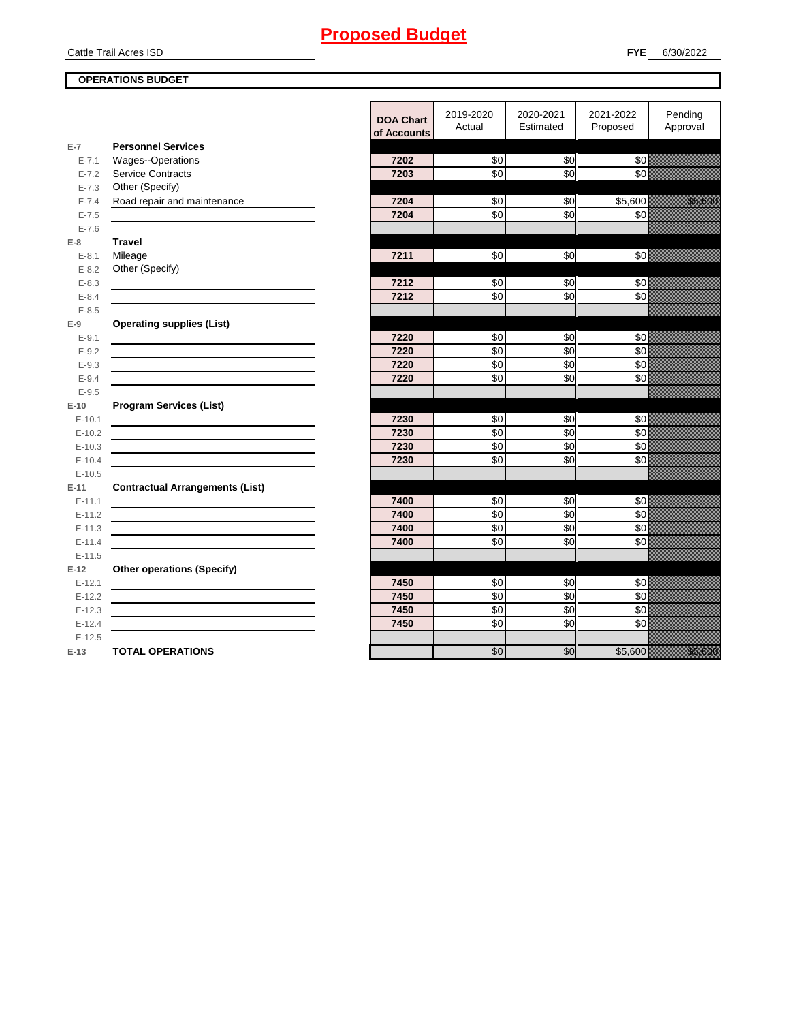Cattle Trail Acres ISD

**E-7**

**E-8 Travel**

**E-9**

**E-10**

**E-11 Contractual Arrangements (List)** 

**E-12** 

## **OPERATIONS BUDGET**

|            |                                                                                                                       | <b>DOA Chart</b><br>of Accounts | 2019-2020<br>Actual | 2020-2021<br>Estimated | 2021-2022<br>Proposed | Pending<br>Approval |
|------------|-----------------------------------------------------------------------------------------------------------------------|---------------------------------|---------------------|------------------------|-----------------------|---------------------|
| $E-7$      | <b>Personnel Services</b>                                                                                             |                                 |                     |                        |                       |                     |
| $E - 7.1$  | <b>Wages--Operations</b>                                                                                              | 7202                            | \$0 <sub>1</sub>    | \$0                    | \$0                   |                     |
| $E - 7.2$  | <b>Service Contracts</b>                                                                                              | 7203                            | \$0                 | SO <sub>o</sub>        | \$0                   |                     |
| $E - 7.3$  | Other (Specify)                                                                                                       |                                 |                     |                        |                       |                     |
| $E - 7.4$  | Road repair and maintenance                                                                                           | 7204                            | \$0                 | \$0                    | \$5,600               | <u>tionalisti</u>   |
| $E - 7.5$  |                                                                                                                       | 7204                            | $\overline{6}$      | \$0                    | \$0                   |                     |
| $E - 7.6$  |                                                                                                                       |                                 |                     |                        |                       |                     |
| E-8        | <b>Travel</b>                                                                                                         |                                 |                     |                        |                       |                     |
| $E-8.1$    | Mileage                                                                                                               | 7211                            | \$0                 | \$0                    | \$0                   |                     |
| $E - 8.2$  | Other (Specify)                                                                                                       |                                 |                     |                        |                       |                     |
| $E - 8.3$  |                                                                                                                       | 7212                            | \$0                 | \$0                    | \$0                   |                     |
| $E - 8.4$  |                                                                                                                       | 7212                            | \$0                 | \$0                    | \$0                   |                     |
| $E-8.5$    |                                                                                                                       |                                 |                     |                        |                       |                     |
| E-9        | <b>Operating supplies (List)</b>                                                                                      |                                 |                     |                        |                       |                     |
| $E - 9.1$  |                                                                                                                       | 7220                            | \$0                 | \$0                    | \$0                   |                     |
| $E - 9.2$  |                                                                                                                       | 7220                            | \$0                 | \$0                    | \$0                   |                     |
| $E - 9.3$  |                                                                                                                       | 7220                            | \$0                 | \$0                    | \$0                   |                     |
| $E - 9.4$  |                                                                                                                       | 7220                            | \$0                 | \$0                    | \$0                   |                     |
| $E-9.5$    |                                                                                                                       |                                 |                     |                        |                       |                     |
| E-10       | <b>Program Services (List)</b>                                                                                        |                                 |                     |                        |                       |                     |
| $E-10.1$   |                                                                                                                       | 7230                            | \$0                 | \$0                    | \$0                   |                     |
| $E-10.2$   |                                                                                                                       | 7230                            | $\overline{50}$     | \$0                    | \$0                   |                     |
| $E-10.3$   | <u> 1989 - Johann Barbara, martin amerikan basar dan berasal dan berasal dalam basar dalam basar dalam basar dala</u> | 7230                            | \$0                 | \$0                    | \$0                   |                     |
| $E-10.4$   |                                                                                                                       | 7230                            | \$0                 | \$0                    | \$0                   |                     |
| $E-10.5$   |                                                                                                                       |                                 |                     |                        |                       |                     |
| $E-11$     | <b>Contractual Arrangements (List)</b>                                                                                |                                 |                     |                        |                       |                     |
| $E - 11.1$ |                                                                                                                       | 7400                            | \$0                 | \$0                    | \$0                   |                     |
| $E-11.2$   |                                                                                                                       | 7400                            | \$0                 | \$0                    | \$0                   |                     |
| $E-11.3$   | <u> 1980 - Johann Barbara, martxa alemaniar arg</u>                                                                   | 7400                            | \$0                 | \$0                    | \$0                   |                     |
| $E-11.4$   |                                                                                                                       | 7400                            | \$0                 | \$0                    | \$0                   |                     |
| $E-11.5$   |                                                                                                                       |                                 |                     |                        |                       |                     |
| E-12       | <b>Other operations (Specify)</b>                                                                                     |                                 |                     |                        |                       |                     |
| $E-12.1$   |                                                                                                                       | 7450                            | \$0                 | \$0                    | \$0                   |                     |
| $E-12.2$   | <u> 1989 - Johann Barn, amerikansk politiker (d. 1989)</u>                                                            | 7450                            | $\sqrt{6}$          | \$0                    | \$0                   |                     |
| $E-12.3$   |                                                                                                                       | 7450                            | \$0                 | \$0                    | \$0                   |                     |
| $E-12.4$   |                                                                                                                       | 7450                            | \$0                 | \$0                    | \$0                   |                     |
| $E-12.5$   |                                                                                                                       |                                 |                     |                        |                       |                     |
| E-13       | <b>TOTAL OPERATIONS</b>                                                                                               |                                 | \$0                 | \$0                    | \$5,600               | <u> Karlin Sara</u> |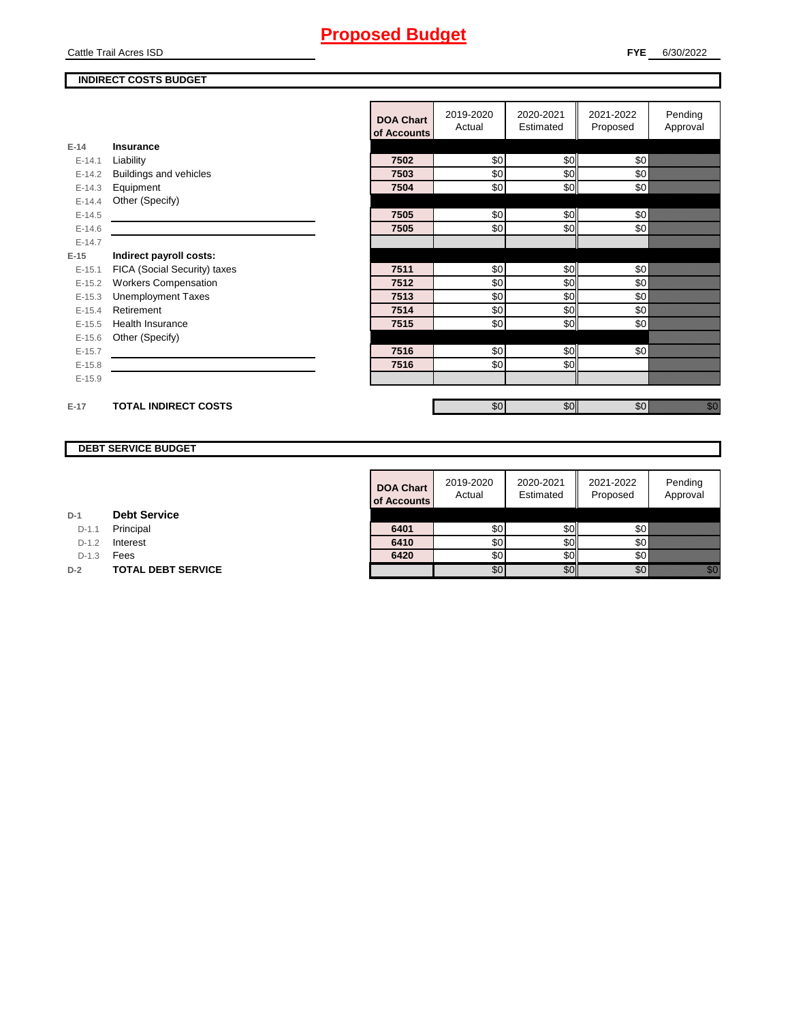Cattle Trail Acres ISD

## **INDIRECT COSTS BUDGET**

|          |                              | <b>DOA Chart</b><br>of Accounts | 2019-2020<br>Actual | 2020-2021<br>Estimated | 2021-2022<br>Proposed | Pending<br>Approval               |
|----------|------------------------------|---------------------------------|---------------------|------------------------|-----------------------|-----------------------------------|
| $E-14$   | <b>Insurance</b>             |                                 |                     |                        |                       |                                   |
| $E-14.1$ | Liability                    | 7502                            | \$0                 | \$0                    | \$0                   |                                   |
|          |                              | 7503                            |                     |                        |                       |                                   |
| $E-14.2$ | Buildings and vehicles       |                                 | \$0                 | \$0                    | \$0                   |                                   |
| $E-14.3$ | Equipment                    | 7504                            | \$0                 | \$0                    | \$0                   |                                   |
| $E-14.4$ | Other (Specify)              |                                 |                     |                        |                       |                                   |
| $E-14.5$ |                              | 7505                            | \$0                 | \$0                    | \$0                   |                                   |
| $E-14.6$ |                              | 7505                            | \$0                 | \$0                    | \$0                   |                                   |
| $E-14.7$ |                              |                                 |                     |                        |                       |                                   |
| $E-15$   | Indirect payroll costs:      |                                 |                     |                        |                       |                                   |
| $E-15.1$ | FICA (Social Security) taxes | 7511                            | \$0                 | \$0                    | \$0                   |                                   |
| $E-15.2$ | <b>Workers Compensation</b>  | 7512                            | \$0                 | \$0                    | \$0                   |                                   |
| $E-15.3$ | <b>Unemployment Taxes</b>    | 7513                            | \$0                 | \$0                    | \$0                   |                                   |
| $E-15.4$ | Retirement                   | 7514                            | \$0                 | \$0                    | \$0                   |                                   |
| $E-15.5$ | <b>Health Insurance</b>      | 7515                            | \$0                 | \$0                    | \$0                   |                                   |
| $E-15.6$ | Other (Specify)              |                                 |                     |                        |                       |                                   |
| $E-15.7$ |                              | 7516                            | \$0                 | \$0                    | \$0                   |                                   |
| $E-15.8$ |                              | 7516                            | \$0                 | \$0                    |                       |                                   |
| $E-15.9$ |                              |                                 |                     |                        |                       |                                   |
|          |                              |                                 |                     |                        |                       |                                   |
| $E-17$   | <b>TOTAL INDIRECT COSTS</b>  |                                 | \$0                 | \$0                    | \$0                   | en de la filo<br>Maria de la filo |

## **DEBT SERVICE BUDGET**

|         |                           | <b>DOA Chart</b><br>of Accounts | 2019-2020<br>Actual | 2020-2021<br>Estimated | 2021-2022<br>Proposed | Pending<br>Approval |
|---------|---------------------------|---------------------------------|---------------------|------------------------|-----------------------|---------------------|
|         | <b>Debt Service</b>       |                                 |                     |                        |                       |                     |
| $D-1.1$ | Principal                 | 6401                            | \$0                 | \$0I                   | \$0                   |                     |
| $D-1.2$ | Interest                  | 6410                            | \$0                 | SOI                    | \$0                   |                     |
| $D-1.3$ | Fees                      | 6420                            | \$0                 | SOII                   | \$0                   |                     |
|         | <b>TOTAL DEBT SERVICE</b> |                                 | \$0                 | \$0                    | \$0                   | i kilik             |

| D-1 |  | <b>Debt Service</b> |
|-----|--|---------------------|
|-----|--|---------------------|

D-1.1 **Principal** 

D-1.2 **Interest** 

**D-2 TOTAL DEBT SERVICE**